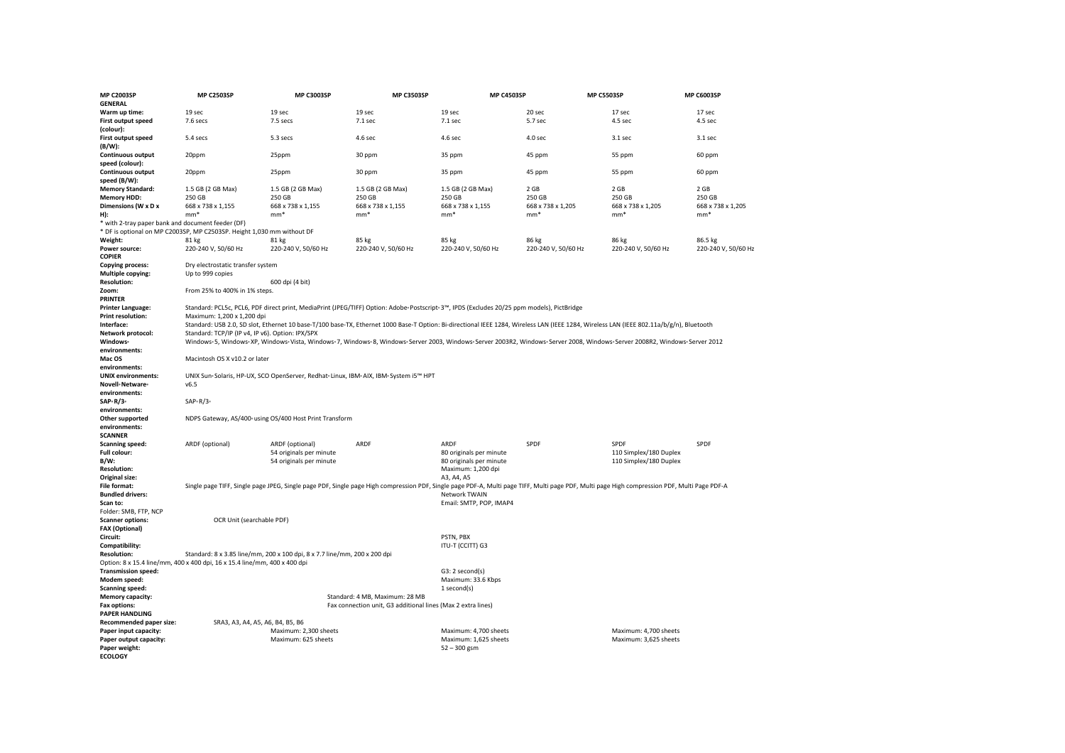| <b>MP C2003SP</b>                                    | <b>MP C2503SP</b>                                                                                                                                                                        | <b>MP C3003SP</b>                                                                                                                                                                            | <b>MP C3503SP</b>                                            | <b>MP C4503SP</b>       |                     | <b>MP C5503SP</b>      | MP C6003SP          |  |  |
|------------------------------------------------------|------------------------------------------------------------------------------------------------------------------------------------------------------------------------------------------|----------------------------------------------------------------------------------------------------------------------------------------------------------------------------------------------|--------------------------------------------------------------|-------------------------|---------------------|------------------------|---------------------|--|--|
| <b>GENERAL</b>                                       |                                                                                                                                                                                          |                                                                                                                                                                                              |                                                              |                         |                     |                        |                     |  |  |
| Warm up time:                                        | 19 sec                                                                                                                                                                                   | 19 sec                                                                                                                                                                                       | 19 sec                                                       | 19 sec                  | 20 sec              | 17 sec                 | 17 sec              |  |  |
| First output speed<br>(colour):                      | 7.6 secs                                                                                                                                                                                 | 7.5 secs                                                                                                                                                                                     | 7.1 sec                                                      | 7.1 sec                 | 5.7 sec             | 4.5 sec                | 4.5 sec             |  |  |
| <b>First output speed</b><br>(B/W):                  | 5.4 secs                                                                                                                                                                                 | 5.3 secs                                                                                                                                                                                     | 4.6 sec                                                      | 4.6 sec                 | 4.0 sec             | $3.1$ sec              | 3.1 sec             |  |  |
| <b>Continuous output</b><br>speed (colour):          | 20ppm                                                                                                                                                                                    | 25ppm                                                                                                                                                                                        | 30 ppm                                                       | 35 ppm                  | 45 ppm              | 55 ppm                 | 60 ppm              |  |  |
| Continuous output<br>speed (B/W):                    | 20ppm                                                                                                                                                                                    | 25ppm                                                                                                                                                                                        | 30 ppm                                                       | 35 ppm                  | 45 ppm              | 55 ppm                 | 60 ppm              |  |  |
| <b>Memory Standard:</b>                              | 1.5 GB (2 GB Max)                                                                                                                                                                        | 1.5 GB (2 GB Max)                                                                                                                                                                            | 1.5 GB (2 GB Max)                                            | 1.5 GB (2 GB Max)       | 2 GB                | 2 GB                   | 2 GB                |  |  |
| <b>Memory HDD:</b>                                   | 250 GB                                                                                                                                                                                   | 250 GB                                                                                                                                                                                       | 250 GB                                                       | 250 GB                  | 250 GB              | 250 GB                 | 250 GB              |  |  |
| Dimensions (W x D x                                  | 668 x 738 x 1,155                                                                                                                                                                        | 668 x 738 x 1,155                                                                                                                                                                            | 668 x 738 x 1,155                                            | 668 x 738 x 1,155       | 668 x 738 x 1,205   | 668 x 738 x 1,205      | 668 x 738 x 1,205   |  |  |
| H):                                                  | $mm*$                                                                                                                                                                                    | $mm*$                                                                                                                                                                                        | $mm*$                                                        | $mm*$                   | $mm*$               | $mm*$                  | $mm*$               |  |  |
| * with 2-tray paper bank and document feeder (DF)    |                                                                                                                                                                                          |                                                                                                                                                                                              |                                                              |                         |                     |                        |                     |  |  |
|                                                      | * DF is optional on MP C2003SP, MP C2503SP. Height 1,030 mm without DF                                                                                                                   |                                                                                                                                                                                              |                                                              |                         |                     |                        |                     |  |  |
| Weight:                                              | 81 kg                                                                                                                                                                                    | 81 kg                                                                                                                                                                                        | 85 kg                                                        | 85 kg                   | 86 kg               | 86 kg                  | 86.5 kg             |  |  |
| Power source:<br><b>COPIER</b>                       | 220-240 V, 50/60 Hz                                                                                                                                                                      | 220-240 V, 50/60 Hz                                                                                                                                                                          | 220-240 V, 50/60 Hz                                          | 220-240 V, 50/60 Hz     | 220-240 V, 50/60 Hz | 220-240 V, 50/60 Hz    | 220-240 V, 50/60 Hz |  |  |
| <b>Copying process:</b>                              | Dry electrostatic transfer system                                                                                                                                                        |                                                                                                                                                                                              |                                                              |                         |                     |                        |                     |  |  |
| <b>Multiple copying:</b><br><b>Resolution:</b>       | Up to 999 copies                                                                                                                                                                         | 600 dpi (4 bit)                                                                                                                                                                              |                                                              |                         |                     |                        |                     |  |  |
| Zoom:<br><b>PRINTER</b>                              | From 25% to 400% in 1% steps.                                                                                                                                                            |                                                                                                                                                                                              |                                                              |                         |                     |                        |                     |  |  |
| <b>Printer Language:</b><br><b>Print resolution:</b> | Standard: PCL5c, PCL6, PDF direct print, MediaPrint (JPEG/TIFF) Option: Adobe-Postscript-3™, IPDS (Excludes 20/25 ppm models), PictBridge<br>Maximum: 1.200 x 1.200 dpi                  |                                                                                                                                                                                              |                                                              |                         |                     |                        |                     |  |  |
| Interface:                                           | Standard: USB 2.0, SD slot, Ethernet 10 base-T/100 base-TX, Ethernet 1000 Base-T Option: Bi-directional IEEE 1284, Wireless LAN (IEEE 1284, Wireless LAN (IEEE 802.11a/b/g/n), Bluetooth |                                                                                                                                                                                              |                                                              |                         |                     |                        |                     |  |  |
| Network protocol:                                    | Standard: TCP/IP (IP v4, IP v6). Option: IPX/SPX                                                                                                                                         |                                                                                                                                                                                              |                                                              |                         |                     |                        |                     |  |  |
| Windows <sup>®</sup>                                 |                                                                                                                                                                                          | Windows-5, Windows-XP, Windows-Vista, Windows-7, Windows-8, Windows-Server 2003, Windows-Server 2003R2, Windows-Server 2008, Windows-Server 2008, 2012                                       |                                                              |                         |                     |                        |                     |  |  |
| environments:<br>Mac OS                              | Macintosh OS X v10.2 or later                                                                                                                                                            |                                                                                                                                                                                              |                                                              |                         |                     |                        |                     |  |  |
| environments:<br><b>UNIX environments:</b>           | UNIX Sun-Solaris, HP-UX, SCO OpenServer, Redhat-Linux, IBM-AIX, IBM-System i5™ HPT                                                                                                       |                                                                                                                                                                                              |                                                              |                         |                     |                        |                     |  |  |
| Novell <sup>®</sup> Netware®                         | v6.5                                                                                                                                                                                     |                                                                                                                                                                                              |                                                              |                         |                     |                        |                     |  |  |
| environments:                                        |                                                                                                                                                                                          |                                                                                                                                                                                              |                                                              |                         |                     |                        |                     |  |  |
| SAP+R/3+                                             | $SAP - R/3$                                                                                                                                                                              |                                                                                                                                                                                              |                                                              |                         |                     |                        |                     |  |  |
| environments:                                        |                                                                                                                                                                                          |                                                                                                                                                                                              |                                                              |                         |                     |                        |                     |  |  |
| Other supported<br>environments:                     | NDPS Gateway, AS/400- using OS/400 Host Print Transform                                                                                                                                  |                                                                                                                                                                                              |                                                              |                         |                     |                        |                     |  |  |
| <b>SCANNER</b>                                       |                                                                                                                                                                                          |                                                                                                                                                                                              |                                                              |                         |                     |                        |                     |  |  |
| <b>Scanning speed:</b>                               | ARDF (optional)                                                                                                                                                                          | ARDF (optional)                                                                                                                                                                              | ARDF                                                         | ARDF                    | SPDF                | SPDF                   | SPDF                |  |  |
| Full colour:                                         |                                                                                                                                                                                          | 54 originals per minute                                                                                                                                                                      |                                                              | 80 originals per minute |                     | 110 Simplex/180 Duplex |                     |  |  |
| B/W:                                                 |                                                                                                                                                                                          | 54 originals per minute                                                                                                                                                                      |                                                              | 80 originals per minute |                     | 110 Simplex/180 Duplex |                     |  |  |
| <b>Resolution:</b>                                   |                                                                                                                                                                                          |                                                                                                                                                                                              |                                                              | Maximum: 1,200 dpi      |                     |                        |                     |  |  |
| Original size:                                       |                                                                                                                                                                                          |                                                                                                                                                                                              |                                                              | A3, A4, A5              |                     |                        |                     |  |  |
| <b>File format:</b>                                  |                                                                                                                                                                                          | Single page TIFF, Single page JPEG, Single page PDF, Single page High compression PDF, Single page PDF-A, Multi page TIFF, Multi page PDF, Multi page High compression PDF, Multi Page PDF-A |                                                              |                         |                     |                        |                     |  |  |
| <b>Bundled drivers:</b>                              |                                                                                                                                                                                          |                                                                                                                                                                                              |                                                              | Network TWAIN           |                     |                        |                     |  |  |
| Scan to:<br>Folder: SMB, FTP, NCP                    |                                                                                                                                                                                          |                                                                                                                                                                                              |                                                              | Email: SMTP, POP, IMAP4 |                     |                        |                     |  |  |
| <b>Scanner options:</b>                              | OCR Unit (searchable PDF)                                                                                                                                                                |                                                                                                                                                                                              |                                                              |                         |                     |                        |                     |  |  |
| <b>FAX (Optional)</b><br>Circuit:                    |                                                                                                                                                                                          |                                                                                                                                                                                              |                                                              | PSTN, PBX               |                     |                        |                     |  |  |
| Compatibility:                                       |                                                                                                                                                                                          |                                                                                                                                                                                              |                                                              | ITU-T (CCITT) G3        |                     |                        |                     |  |  |
| <b>Resolution:</b>                                   |                                                                                                                                                                                          | Standard: 8 x 3.85 line/mm, 200 x 100 dpi, 8 x 7.7 line/mm, 200 x 200 dpi                                                                                                                    |                                                              |                         |                     |                        |                     |  |  |
|                                                      | Option: 8 x 15.4 line/mm, 400 x 400 dpi, 16 x 15.4 line/mm, 400 x 400 dpi                                                                                                                |                                                                                                                                                                                              |                                                              |                         |                     |                        |                     |  |  |
| <b>Transmission speed:</b>                           |                                                                                                                                                                                          |                                                                                                                                                                                              |                                                              | G3: 2 second(s)         |                     |                        |                     |  |  |
| Modem speed:                                         |                                                                                                                                                                                          |                                                                                                                                                                                              |                                                              | Maximum: 33.6 Kbps      |                     |                        |                     |  |  |
| <b>Scanning speed:</b>                               |                                                                                                                                                                                          |                                                                                                                                                                                              |                                                              | 1 second(s)             |                     |                        |                     |  |  |
| <b>Memory capacity:</b>                              |                                                                                                                                                                                          |                                                                                                                                                                                              | Standard: 4 MB, Maximum: 28 MB                               |                         |                     |                        |                     |  |  |
| Fax options:                                         |                                                                                                                                                                                          |                                                                                                                                                                                              | Fax connection unit, G3 additional lines (Max 2 extra lines) |                         |                     |                        |                     |  |  |
| <b>PAPER HANDLING</b>                                |                                                                                                                                                                                          |                                                                                                                                                                                              |                                                              |                         |                     |                        |                     |  |  |
| Recommended paper size:                              | SRA3, A3, A4, A5, A6, B4, B5, B6                                                                                                                                                         |                                                                                                                                                                                              |                                                              |                         |                     |                        |                     |  |  |
| Paper input capacity:                                |                                                                                                                                                                                          | Maximum: 2,300 sheets                                                                                                                                                                        |                                                              | Maximum: 4,700 sheets   |                     | Maximum: 4,700 sheets  |                     |  |  |
| Paper output capacity:                               |                                                                                                                                                                                          | Maximum: 625 sheets                                                                                                                                                                          |                                                              | Maximum: 1,625 sheets   |                     | Maximum: 3,625 sheets  |                     |  |  |
| Paper weight:<br><b>ECOLOGY</b>                      |                                                                                                                                                                                          |                                                                                                                                                                                              |                                                              | $52 - 300$ gsm          |                     |                        |                     |  |  |